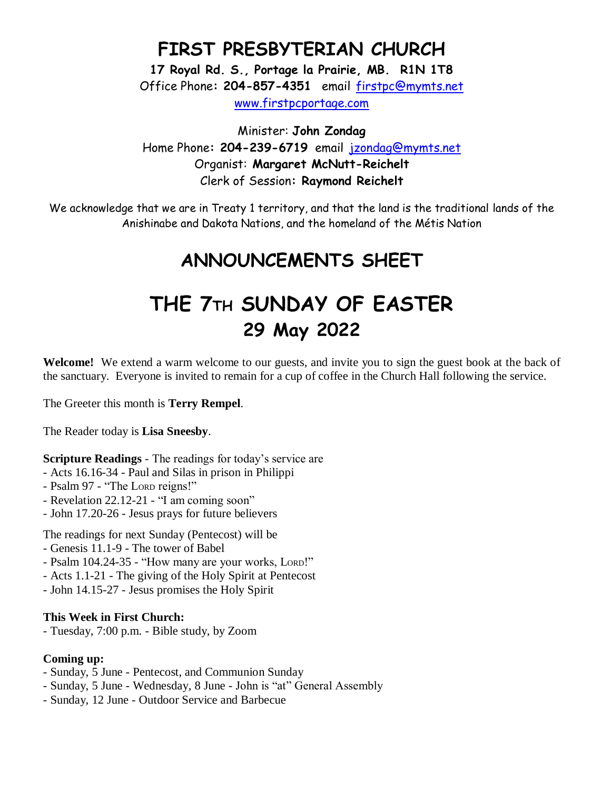### **FIRST PRESBYTERIAN CHURCH**

**17 Royal Rd. S., Portage la Prairie, MB. R1N 1T8** Office Phone**: 204-857-4351** email [firstpc@mymts.net](mailto:firstpc@mymts.net) [www.firstpcportage.com](http://www.firstpcportage.com/)

Minister: **John Zondag** Home Phone**: 204-239-6719** email [jzondag@mymts.net](mailto:jzondag@mymts.net) Organist: **Margaret McNutt-Reichelt** Clerk of Session**: Raymond Reichelt**

We acknowledge that we are in Treaty 1 territory, and that the land is the traditional lands of the Anishinabe and Dakota Nations, and the homeland of the Métis Nation

## **ANNOUNCEMENTS SHEET**

# **THE 7TH SUNDAY OF EASTER 29 May 2022**

**Welcome!** We extend a warm welcome to our guests, and invite you to sign the guest book at the back of the sanctuary. Everyone is invited to remain for a cup of coffee in the Church Hall following the service.

The Greeter this month is **Terry Rempel**.

The Reader today is **Lisa Sneesby**.

**Scripture Readings** - The readings for today's service are

- Acts 16.16-34 Paul and Silas in prison in Philippi
- Psalm 97 "The LORD reigns!"
- Revelation 22.12-21 "I am coming soon"
- John 17.20-26 Jesus prays for future believers

The readings for next Sunday (Pentecost) will be

- Genesis 11.1-9 The tower of Babel
- Psalm 104.24-35 "How many are your works, LORD!"
- Acts 1.1-21 The giving of the Holy Spirit at Pentecost
- John 14.15-27 Jesus promises the Holy Spirit

#### **This Week in First Church:**

- Tuesday, 7:00 p.m. - Bible study, by Zoom

#### **Coming up:**

- Sunday, 5 June Pentecost, and Communion Sunday
- Sunday, 5 June Wednesday, 8 June John is "at" General Assembly
- Sunday, 12 June Outdoor Service and Barbecue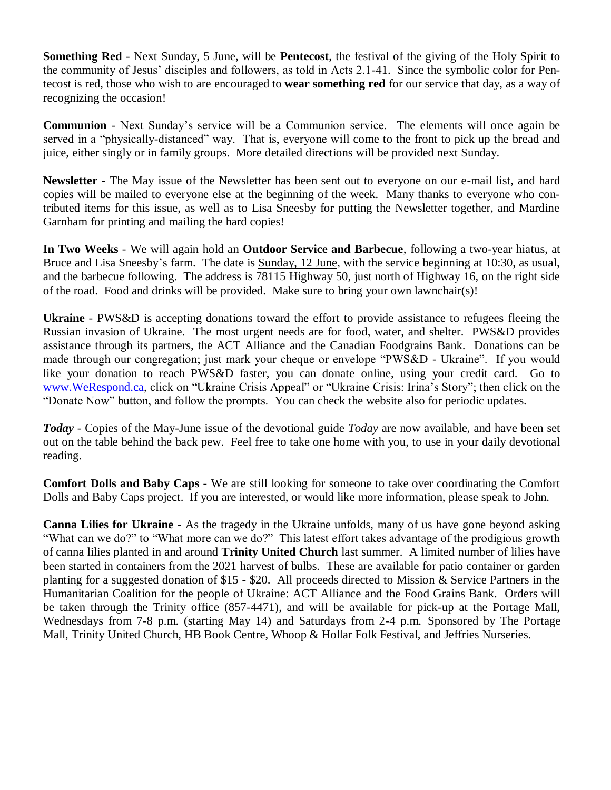**Something Red** - Next Sunday, 5 June, will be **Pentecost**, the festival of the giving of the Holy Spirit to the community of Jesus' disciples and followers, as told in Acts 2.1-41. Since the symbolic color for Pentecost is red, those who wish to are encouraged to **wear something red** for our service that day, as a way of recognizing the occasion!

**Communion** - Next Sunday's service will be a Communion service. The elements will once again be served in a "physically-distanced" way. That is, everyone will come to the front to pick up the bread and juice, either singly or in family groups. More detailed directions will be provided next Sunday.

**Newsletter** - The May issue of the Newsletter has been sent out to everyone on our e-mail list, and hard copies will be mailed to everyone else at the beginning of the week. Many thanks to everyone who contributed items for this issue, as well as to Lisa Sneesby for putting the Newsletter together, and Mardine Garnham for printing and mailing the hard copies!

**In Two Weeks** - We will again hold an **Outdoor Service and Barbecue**, following a two-year hiatus, at Bruce and Lisa Sneesby's farm. The date is Sunday, 12 June, with the service beginning at 10:30, as usual, and the barbecue following. The address is 78115 Highway 50, just north of Highway 16, on the right side of the road. Food and drinks will be provided. Make sure to bring your own lawnchair(s)!

**Ukraine** - PWS&D is accepting donations toward the effort to provide assistance to refugees fleeing the Russian invasion of Ukraine. The most urgent needs are for food, water, and shelter. PWS&D provides assistance through its partners, the ACT Alliance and the Canadian Foodgrains Bank. Donations can be made through our congregation; just mark your cheque or envelope "PWS&D - Ukraine". If you would like your donation to reach PWS&D faster, you can donate online, using your credit card. Go to [www.WeRespond.ca,](http://www.werespond.ca/) click on "Ukraine Crisis Appeal" or "Ukraine Crisis: Irina's Story"; then click on the "Donate Now" button, and follow the prompts. You can check the website also for periodic updates.

*Today* - Copies of the May-June issue of the devotional guide *Today* are now available, and have been set out on the table behind the back pew. Feel free to take one home with you, to use in your daily devotional reading.

**Comfort Dolls and Baby Caps** - We are still looking for someone to take over coordinating the Comfort Dolls and Baby Caps project. If you are interested, or would like more information, please speak to John.

**Canna Lilies for Ukraine** - As the tragedy in the Ukraine unfolds, many of us have gone beyond asking "What can we do?" to "What more can we do?" This latest effort takes advantage of the prodigious growth of canna lilies planted in and around **Trinity United Church** last summer. A limited number of lilies have been started in containers from the 2021 harvest of bulbs. These are available for patio container or garden planting for a suggested donation of \$15 - \$20. All proceeds directed to Mission & Service Partners in the Humanitarian Coalition for the people of Ukraine: ACT Alliance and the Food Grains Bank. Orders will be taken through the Trinity office (857-4471), and will be available for pick-up at the Portage Mall, Wednesdays from 7-8 p.m. (starting May 14) and Saturdays from 2-4 p.m. Sponsored by The Portage Mall, Trinity United Church, HB Book Centre, Whoop & Hollar Folk Festival, and Jeffries Nurseries.